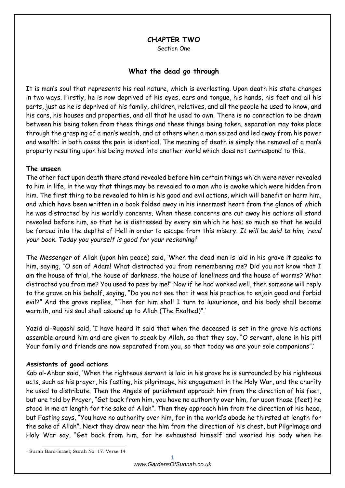## **CHAPTER TWO**

Section One

## **What the dead go through**

It is man's soul that represents his real nature, which is everlasting. Upon death his state changes in two ways. Firstly, he is now deprived of his eyes, ears and tongue, his hands, his feet and all his parts, just as he is deprived of his family, children, relatives, and all the people he used to know, and his cars, his houses and properties, and all that he used to own. There is no connection to be drawn between his being taken from these things and these things being taken, separation may take place through the grasping of a man's wealth, and at others when a man seized and led away from his power and wealth: in both cases the pain is identical. The meaning of death is simply the removal of a man's property resulting upon his being moved into another world which does not correspond to this.

#### **The unseen**

The other fact upon death there stand revealed before him certain things which were never revealed to him in life, in the way that things may be revealed to a man who is awake which were hidden from him. The first thing to be revealed to him is his good and evil actions, which will benefit or harm him, and which have been written in a book folded away in his innermost heart from the glance of which he was distracted by his worldly concerns. When these concerns are cut away his actions all stand revealed before him, so that he is distressed by every sin which he has; so much so that he would be forced into the depths of Hell in order to escape from this misery. *It will be said to him, 'read your book. Today you yourself is good for your reckoning*! 1

The Messenger of Allah (upon him peace) said, 'When the dead man is laid in his grave it speaks to him, saying, "O son of Adam! What distracted you from remembering me? Did you not know that I am the house of trial, the house of darkness, the house of loneliness and the house of worms? What distracted you from me? You used to pass by me!" Now if he had worked well, then someone will reply to the grave on his behalf, saying, "Do you not see that it was his practice to enjoin good and forbid evil?" And the grave replies, "Then for him shall I turn to luxuriance, and his body shall become warmth, and his soul shall ascend up to Allah (The Exalted)".'

Yazid al-Ruqashi said, 'I have heard it said that when the deceased is set in the grave his actions assemble around him and are given to speak by Allah, so that they say, "O servant, alone in his pit! Your family and friends are now separated from you, so that today we are your sole companions".'

#### **Assistants of good actions**

Kab al-Ahbar said, 'When the righteous servant is laid in his grave he is surrounded by his righteous acts, such as his prayer, his fasting, his pilgrimage, his engagement in the Holy War, and the charity he used to distribute. Then the Angels of punishment approach him from the direction of his feet, but are told by Prayer, "Get back from him, you have no authority over him, for upon those (feet) he stood in me at length for the sake of Allah". Then they approach him from the direction of his head, but Fasting says, "You have no authority over him, for in the world's abode he thirsted at length for the sake of Allah". Next they draw near the him from the direction of his chest, but Pilgrimage and Holy War say, "Get back from him, for he exhausted himself and wearied his body when he

-

<sup>1</sup> Surah Bani-Israel; Surah No: 17. Verse 14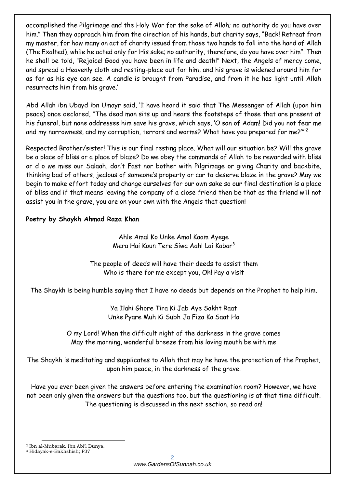accomplished the Pilgrimage and the Holy War for the sake of Allah; no authority do you have over him." Then they approach him from the direction of his hands, but charity says, "Back! Retreat from my master, for how many an act of charity issued from those two hands to fall into the hand of Allah (The Exalted), while he acted only for His sake; no authority, therefore, do you have over him". Then he shall be told, "Rejoice! Good you have been in life and death!" Next, the Angels of mercy come, and spread a Heavenly cloth and resting-place out for him, and his grave is widened around him for as far as his eye can see. A candle is brought from Paradise, and from it he has light until Allah resurrects him from his grave.'

Abd Allah ibn Ubayd ibn Umayr said, 'I have heard it said that The Messenger of Allah (upon him peace) once declared, "The dead man sits up and hears the footsteps of those that are present at his funeral, but none addresses him save his grave, which says, 'O son of Adam! Did you not fear me and my narrowness, and my corruption, terrors and worms? What have you prepared for me?'"'<sup>2</sup>

Respected Brother/sister! This is our final resting place. What will our situation be? Will the grave be a place of bliss or a place of blaze? Do we obey the commands of Allah to be rewarded with bliss or d o we miss our Salaah, don't Fast nor bother with Pilgrimage or giving Charity and backbite, thinking bad of others, jealous of someone's property or car to deserve blaze in the grave? May we begin to make effort today and change ourselves for our own sake so our final destination is a place of bliss and if that means leaving the company of a close friend then be that as the friend will not assist you in the grave, you are on your own with the Angels that question!

# **Poetry by Shaykh Ahmad Raza Khan**

Ahle Amal Ko Unke Amal Kaam Ayege Mera Hai Koun Tere Siwa Aah! Lai Kabar<sup>3</sup>

The people of deeds will have their deeds to assist them Who is there for me except you, Oh! Pay a visit

The Shaykh is being humble saying that I have no deeds but depends on the Prophet to help him.

Ya Ilahi Ghore Tira Ki Jab Aye Sakht Raat Unke Pyare Muh Ki Subh Ja Fiza Ka Saat Ho

O my Lord! When the difficult night of the darkness in the grave comes May the morning, wonderful breeze from his loving mouth be with me

The Shaykh is meditating and supplicates to Allah that may he have the protection of the Prophet, upon him peace, in the darkness of the grave.

Have you ever been given the answers before entering the examination room? However, we have not been only given the answers but the questions too, but the questioning is at that time difficult. The questioning is discussed in the next section, so read on!

<sup>3</sup> Hidayak-e-Bakhshish; P37

-

<sup>2</sup> Ibn al-Mubarak. Ibn Abi'l Dunya.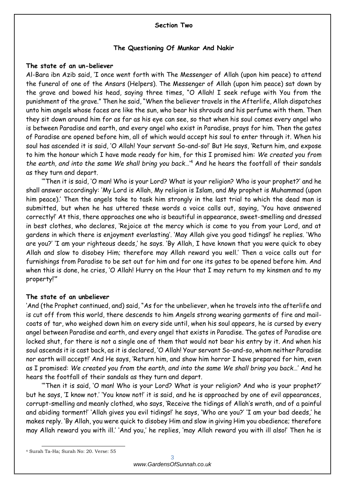#### **Section Two**

#### **The Questioning Of Munkar And Nakir**

#### **The state of an un-believer**

Al-Bara ibn Azib said, 'I once went forth with The Messenger of Allah (upon him peace) to attend the funeral of one of the Ansars (Helpers). The Messenger of Allah (upon him peace) sat down by the grave and bowed his head, saying three times, "O Allah! I seek refuge with You from the punishment of the grave." Then he said, "When the believer travels in the Afterlife, Allah dispatches unto him angels whose faces are like the sun, who bear his shrouds and his perfume with them. Then they sit down around him for as far as his eye can see, so that when his soul comes every angel who is between Paradise and earth, and every angel who exist in Paradise, prays for him. Then the gates of Paradise are opened before him, all of which would accept his soul to enter through it. When his soul has ascended it is said, 'O Allah! Your servant So-and-so!' But He says, 'Return him, and expose to him the honour which I have made ready for him, for this I promised him: *We created you from the earth, and into the same We shall bring you back*…'<sup>4</sup> And he hears the footfall of their sandals as they turn and depart.

'"Then it is said, 'O man! Who is your Lord? What is your religion? Who is your prophet?' and he shall answer accordingly: 'My Lord is Allah, My religion is Islam, and My prophet is Muhammad (upon him peace).' Then the angels take to task him strongly in the last trial to which the dead man is submitted, but when he has uttered these words a voice calls out, saying, 'You have answered correctly!' At this, there approaches one who is beautiful in appearance, sweet-smelling and dressed in best clothes, who declares, 'Rejoice at the mercy which is come to you from your Lord, and at gardens in which there is enjoyment everlasting'. 'May Allah give you good tidings!' he replies. 'Who are you?' 'I am your righteous deeds,' he says. 'By Allah, I have known that you were quick to obey Allah and slow to disobey Him; therefore may Allah reward you well.' Then a voice calls out for furnishings from Paradise to be set out for him and for one its gates to be opened before him. And when this is done, he cries, 'O Allah! Hurry on the Hour that I may return to my kinsmen and to my property!'"

#### **The state of an unbeliever**

'And (the Prophet continued, and) said, "As for the unbeliever, when he travels into the afterlife and is cut off from this world, there descends to him Angels strong wearing garments of fire and mailcoats of tar, who weighed down him on every side until, when his soul appears, he is cursed by every angel between Paradise and earth, and every angel that exists in Paradise. The gates of Paradise are locked shut, for there is not a single one of them that would not bear his entry by it. And when his soul ascends it is cast back, as it is declared, 'O Allah! Your servant So-and-so, whom neither Paradise nor earth will accept!' And He says, 'Return him, and show him horror I have prepared for him, even as I promised: *We created you from the earth, and into the same We shall bring you back*…' And he hears the footfall of their sandals as they turn and depart.

'"Then it is said, 'O man! Who is your Lord? What is your religion? And who is your prophet?' but he says, 'I know not.' 'You know not!' it is said, and he is approached by one of evil appearances, corrupt-smelling and meanly clothed, who says, 'Receive the tidings of Allah's wrath, and of a painful and abiding torment!' 'Allah gives you evil tidings!' he says, 'Who are you?' 'I am your bad deeds,' he makes reply. 'By Allah, you were quick to disobey Him and slow in giving Him you obedience; therefore may Allah reward you with ill.' 'And you,' he replies, 'may Allah reward you with ill also!' Then he is

-

<sup>4</sup> Surah Ta-Ha; Surah No: 20. Verse: 55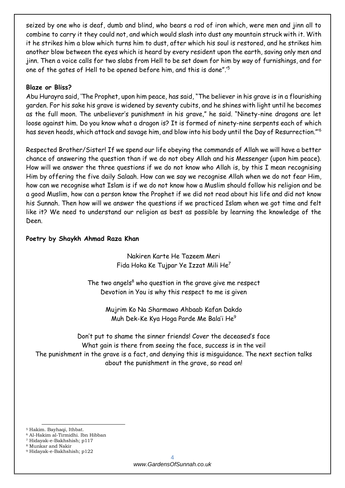seized by one who is deaf, dumb and blind, who bears a rod of iron which, were men and jinn all to combine to carry it they could not, and which would slash into dust any mountain struck with it. With it he strikes him a blow which turns him to dust, after which his soul is restored, and he strikes him another blow between the eyes which is heard by every resident upon the earth, saving only men and jinn. Then a voice calls for two slabs from Hell to be set down for him by way of furnishings, and for one of the gates of Hell to be opened before him, and this is done".'<sup>5</sup>

### **Blaze or Bliss?**

Abu Hurayra said, 'The Prophet, upon him peace, has said, "The believer in his grave is in a flourishing garden. For his sake his grave is widened by seventy cubits, and he shines with light until he becomes as the full moon. The unbeliever's punishment in his grave," he said. "Ninety-nine dragons are let loose against him. Do you know what a dragon is? It is formed of ninety-nine serpents each of which has seven heads, which attack and savage him, and blow into his body until the Day of Resurrection."'<sup>6</sup>

Respected Brother/Sister! If we spend our life obeying the commands of Allah we will have a better chance of answering the question than if we do not obey Allah and his Messenger (upon him peace). How will we answer the three questions if we do not know who Allah is, by this I mean recognising Him by offering the five daily Salaah. How can we say we recognise Allah when we do not fear Him, how can we recognise what Islam is if we do not know how a Muslim should follow his religion and be a good Muslim, how can a person know the Prophet if we did not read about his life and did not know his Sunnah. Then how will we answer the questions if we practiced Islam when we got time and felt like it? We need to understand our religion as best as possible by learning the knowledge of the Deen.

### **Poetry by Shaykh Ahmad Raza Khan**

Nakiren Karte He Tazeem Meri Fida Hoka Ke Tujpar Ye Izzat Mili He<sup>7</sup>

The two angels $8$  who question in the grave give me respect Devotion in You is why this respect to me is given

> Mujrim Ko Na Sharmawo Ahbaab Kafan Dakdo Muh Dek-Ke Kya Hoga Parde Me Bala'i He<sup>9</sup>

Don't put to shame the sinner friends! Cover the deceased's face What gain is there from seeing the face, success is in the veil The punishment in the grave is a fact, and denying this is misguidance. The next section talks about the punishment in the grave, so read on!

1 <sup>5</sup> Hakim. Bayhaqi, Ithbat.

<sup>6</sup> Al-Hakim al-Tirmidhi. Ibn Hibban

<sup>7</sup> Hidayak-e-Bakhshish; p117

<sup>8</sup> Munkar and Nakir

<sup>9</sup> Hidayak-e-Bakhshish; p122